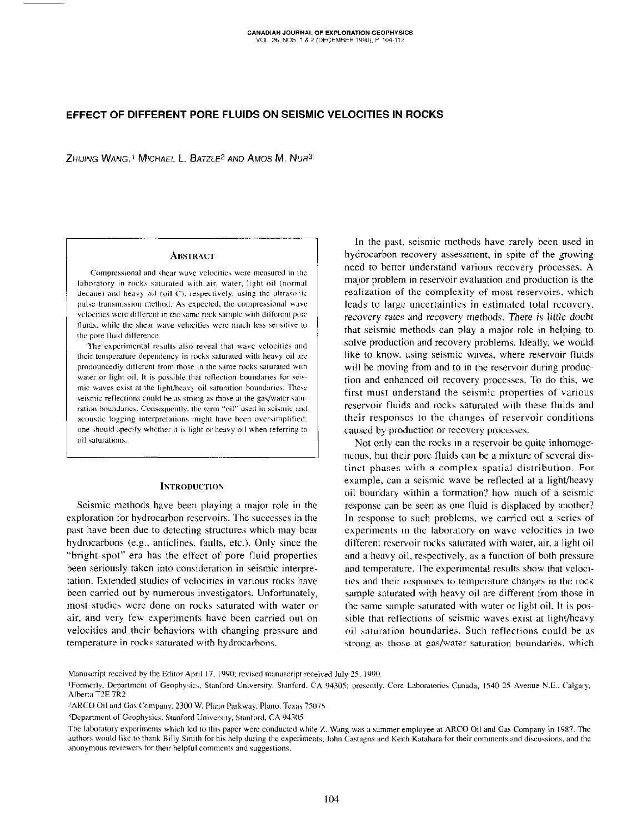# EFFECT OF DIFFERENT PORE FLUIDS ON SEISMIC VELOCITIES IN ROCKS

 $Z$ HIJING WANG.<sup>1</sup> MICHAEL L. BATZLE<sup>2</sup> AND AMOS M. NUR<sup>3</sup>

### **ABSTRACT**

Compressional and shear wave velocities were measured in the laboratory in rocks saturated with air, water, light oil (normal decane) and heavy oil (oil C), respectively, using the ultrasonic pulse transmission method. As expected, the compressional wave velocities were different in the same rock sample with different pore fluids, while the shear wave velocities were much less sensitive to the pore fluid difference.

The experimental results also reveal that wave velocities and their temperature dependency in rocks saturated with heavy oil are pronouncedly different from those in the same rocks saturated with water or light oil. It is possible that reflection boundaries for seismic waves exist at the light/heavy oil saturation boundaries. These seismic reflections could be as strong as those at the gas/water saturation boundaries. Consequently, the term "oil" used in seismic and acoustic logging interpretations might have been oversimplified; one should specify whether it is light or heavy oil when referring to nil saturations.

## INTRODUCTION

Seismic methods have been playing a major role in the exploration for hydrocarbon reservoirs. The successes in the past have been due to detecting structures which may hear hydrocarbons (e.g., anticlines. faults, etc.). Only since the "bright-spot" era has the effect of pore fluid properties been seriously taken into consideration in seismic interpretation. Extended studies of velocities in various rocks have been carried out by numerous investigators. Unfortunately, most studies were done on rocks saturated with water or air, and very few experiments have heen carried out on velocities and their bchaviors with changing pressure and temperature in rocks saturated with hydrocarbons.

In the past. seismic methods have rarely been used in hydrocarbon recovery assessment. in spite of the growing need to better understand various recovery processes. A major problem in reservoir evaluation and production is the realization of the complexity of most reservoirs, which leads to large uncertainties in estimated total recovery. recovery rates and recovery methods. There is little doubt that seismic methods can play a major role in helping to solve production and recovery problems. Ideally, we would like to know. using seismic waves, where reservoir fluids will be moving from and to in the reservoir during production and enhanced oil recovery processes. To do this, we first must understand the seismic properties of various reservoir fluids and rocks saturated with these tluids and their responses to the changes of reservoir conditions caused hy production or recovery processes.

Not only can the rocks in a reservoir be quite inhomogeneous, but their pore fluids can be a mixture of several distinct phases with a complex spatial distribution. For example, can a seismic wave be reflected at a light/heavy oil boundary within a formation? how much of a seismic response can he seen as one fluid is displaced by another? In response to such problems. we carried out a series of experiments in the laboratory on wave velocities in two different reservoir rocks saturated with water, air. a light oil and a heavy oil, respectively, as a function of both pressure and temperature. The experimental results show that velocities and their responses to temperature changes in the rock sample saturated with heavy oil are different from those in the same sample saturated with water or light oil. It is possible that reflections of seismic waves exist at light/heavy oil saturation boundaries. Such reflections could be as strong as those at gas/water saturation houndaries, which

Manuscript received by the Editor April 17, 1990; revised manuscript received July 25, 1990.

<sup>&</sup>lt;sup>1</sup>Formerly, Department of Geophysics, Stanford University, Stanford, CA 94305; presently, Core Laboratories Canada, 1540-25 Avenue N.E., Calgary, Alberta T2E 7R2

<sup>&</sup>lt;sup>2</sup>ARCO Oil and Gas Company. 2300 W. Plano Parkway, Plano, Texas 75075.

<sup>3</sup>Department of Geophysics, Stanford University, Stanford, CA 94305

The laboratory experiments which led to this paper were conducted while Z. Wang was a summer employee at ARCO Oil and Gas Company in 1987. The authors would like to thank Billy Smith for his help during the experiments, John Castagna and Keith Katahara for their comments and discussions, and the anonymous reviewers for their helpful comments and suggestions.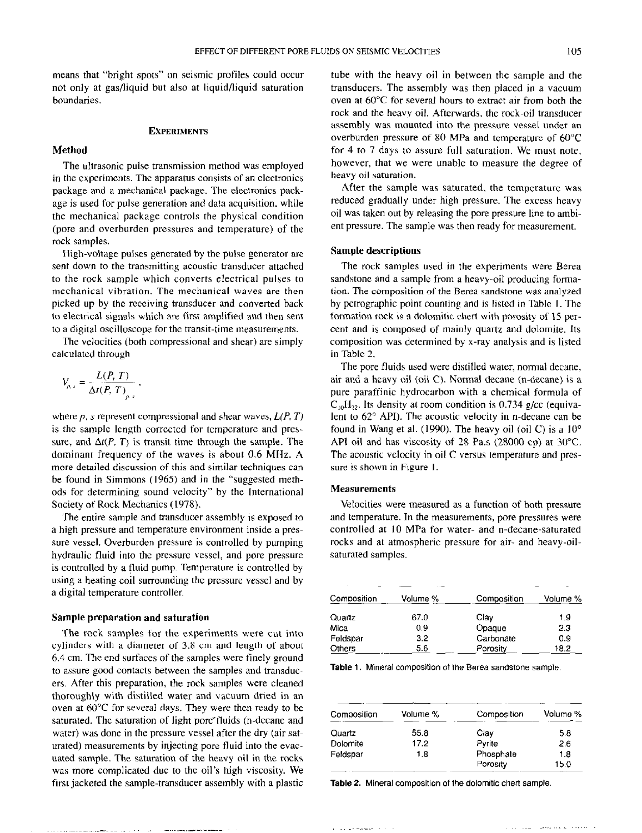means that "bright spots" on seismic profiles could occur not only at gas/liquid but also at liquid/liquid saturation boundaries.

#### **EXPERIMENTS**

# Method

The ultrasonic pulse transmission method was employed in the experiments. The apparatus consists of an electronics package and a mechanical package. The electronics package is used for pulse generation and data acquisition. while the mechanical package controls the physical condition (pore and overburden pressures and temperature) of the rock samples.

High-voltage pulses generated by the pulse generator are sent down to the transmitting acoustic transducer attached to the rock sample which converts electrical pulses to mechanical vibration. The mechanical waves are then picked up by the receiving transducer and converted back to electrical signals which are first amplified and then sent to a digital oscilloscope for the transit-time measurements.

The velocities (both compressional and shear) are simply calculated through

$$
V_{p,s} = \frac{L(P,T)}{\Delta t(P,T)} ,
$$

where p, s represent compressional and shear waves,  $L(P, T)$ is the sample length corrected for temperature and pressure, and  $\Delta t(P, T)$  is transit time through the sample. The dominant frequency of the waves is about 0.6 MHz. A more detailed discussion of this and similar techniques can be found in Simmons (1965) and in the "suggested methods for determining sound velocity" by the International Society of Rock Mechanics (1978).

The entire sample and transducer assembly is exposed to a high pressure and temperature environment inside a pressure vessel. Overburden pressure is controlled by pumping hydraulic fluid into the pressure vessel, and pore pressure is controlled by a fluid pump. Temperature is controlled by using a heating coil surrounding the pressure vessel and by a digital temperature controller.

#### Sample preparation and saturation

The rock samples for the experiments were cut into cylinders with a diameter of 3.8 cm and length of about 6.4 cm. The end surfaces of the samples were finely ground to assure good contacts between the samples and transducers. After this preparation, the rock samples were cleaned thoroughly with distilled water and vacuum dried in an oven at  $60^{\circ}$ C for several days. They were then ready to be saturated. The saturation of light pore fluids (n-decane and water) was done in the pressure vessel after the dry (air saturated) measurements by injecting pore fluid into the evacuated sample. The saturation of the hewy oil in the rocks was more complicated due to the oil's high viscosity. We first jacketed the sample-transducer assembly with a plastic

tube with the heavy oil in between the sample and the transducers. The assembly was then placed in a vacuum oven at  $60^{\circ}$ C for several hours to extract air from both the rock and the heavy oil. Afterwards, the rock-oil transducer assembly was mounted into the pressure vessel under an overburden pressure of 80 MPa and temperature of 60°C for 4 to 7 days to assure full saturation. We must note, however, that we were unable to measure the degree of heavy oil saturation.

After the sample was saturated, the temperature was reduced gradually under high pressure. The excess heavy oil was taken out by releasing the pore pressure line to ambient pressure. The sample was then ready for measurement.

#### Sample descriptions

The rock samples used in the experiments were Berea sandstone and a sample from a heavy-oil producing formation. The composition of the Berea sandstone was analyzed by petrographic point counting and is listed in Table I. The formation rock is a dolomitic chert with porosity of 15 percent and is composed of mainly quartz and dolomite. Its composition was determined by x-ray analysis and is listed in Table 2.

The pore fluids used were distilled water, normal decane, air and a heavy oil (oil C). Normal decane (n-decane) is a pure paraffinic hydrocarbon with a chemical formula of  $C_{10}H_{22}$ . Its density at room condition is 0.734 g/cc (equivalent to 62° API). The acoustic velocity in n-decane can be found in Wang et al. (1990). The heavy oil (oil C) is a  $10^{\circ}$ API oil and has viscosity of 28 Pas (28000 cp) at 30°C. The acoustic velocity in oil C versus temperature and pressure is shown in Figure I.

## Measurements

Velocities were measured as a function of both pressure and temperature. In the measurements, pore pressures were controlled at IO MPa for water- and n-decane-saturated rocks and at atmospheric pressure for air- and heavy-oilsaturated samples.

| Composition     | Volume % | Composition | Volume % |  |
|-----------------|----------|-------------|----------|--|
| Quartz          | 67.0     | Clay        | 1.9      |  |
| Mica            | 0.9      | Opaque      | 2.3      |  |
| 3.2<br>Feldspar |          | Carbonate   | 0.9      |  |
| <b>Others</b>   | 5.6      | Porosity    | 18.2     |  |

Table 1. Mineral composition of the Berea sandstone sample.

| Composition | Volume % | Composition | Volume % |  |
|-------------|----------|-------------|----------|--|
| Quartz      | 55.8     | Clav        | 5.8      |  |
| Dolomite    | 17.2     | Pyrite      | 2.6      |  |
| Feldspar    | 1.8      | Phosphate   | 1.8      |  |
|             |          | Porosity    | 15.0     |  |

Table 2. Mineral composition of the dolomitic chert sample.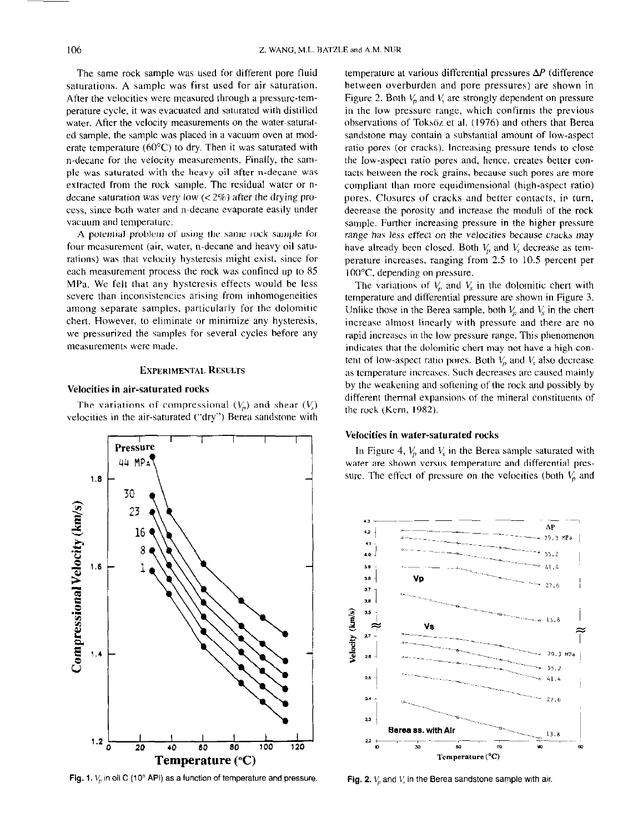The same rock sample was used for different pore fluid saturations. A sample was first used for air saturation. After the velocities were measured through a pressure-temperature cycle, it was evacuated and saturated with distilled water. After the velocity measurements on the water-saturatcd sample, the sample was placed in a vacuum oven at moderate temperature ( $60^{\circ}$ C) to dry. Then it was saturated with n-decane for the velocity measurements. Finally, the sample was saturated with the heavy oil after n-decane was extracted from the rock sample. The residual water or ndecane saturation was very low  $\langle < 2\% \rangle$  after the drying process, since both water and n-decane evaporate easily under vacuum and temperature.

A potential problem of using the same rock sample for four measurement (air, water, n-decane and heavy oil saturations) was that velocity hysteresis might exist, since for each measurement process the rock was confined up to 85 MPa. WC felt that any hysteresis effects would be less severe than inconsistencies arising from inhomogeneities among separate samples, particularly for the dolomitic chert. However, to eliminate or minimize any hysteresis, we pressurizcd the samples for several cycles before any measurements were made.

## EXPERIMENTAL RESULTS

#### Velocities in air-saturated rocks

The variations of compressional  $(V_p)$  and shear  $(V_s)$ velocities in the air-saturated ("dry") Berea sandstone with



Fig. 1.  $V_n$  in oil C (10 $^{\circ}$  API) as a function of temperature and pressure.

temperature at various differential pressures  $\Delta P$  (difference between overburden and pore pressures) are shown in Figure 2. Both  $V_p$  and V, are strongly dependent on pressure in the low pressure range, which confirms the previous observations of Toksöz et al. (1976) and others that Berea sandstone may contain a substantial amount of low-aspect ratio pores (or cracks). Increasing pressure tends to close the low-aspect ratio pores and, hence, creates better contacts between the rock grains, because such pores are more compliant than more equidimensional (high-aspect ratio) pores. Closures of cracks and better contacts, in turn, decrease the porosity and increase the moduli of the rock sample. Further increasing pressure in the higher pressure range has less effect on the velocities because cracks may have already been closed. Both  $V_p$  and  $V_s$  decrease as temperature increases, ranging from 2.5 to 10.5 percent per 100°C. depending on pressure.

The variations of  $V_n$  and  $V_s$  in the dolomitic chert with temperature and differential pressure are shown in Figure 3. Unlike those in the Berea sample, both  $V_n$  and  $V_s$  in the chert increase almost linearly with pressure and there are no rapid increases in the low pressure range. This phenomenon indicates that the dolomitic chert may not have a high content of low-aspect ratio pores. Both  $V_n$  and  $V_s$  also decrease as temperature increases. Such decreases are caused mainly by the weakening and softening of the rock and possibly by different thermal expansions of the mineral constituents of the rock (Kern, 1982).

#### Velocities in water-saturated rocks

In Figure 4,  $V_p$  and  $V_s$  in the Berea sample saturated with water are shown versus temperature and differential pressure. The effect of pressure on the velocities (both  $V_p$  and



Fig. 2.  $V_p$  and  $V_s$  in the Berea sandstone sample with air.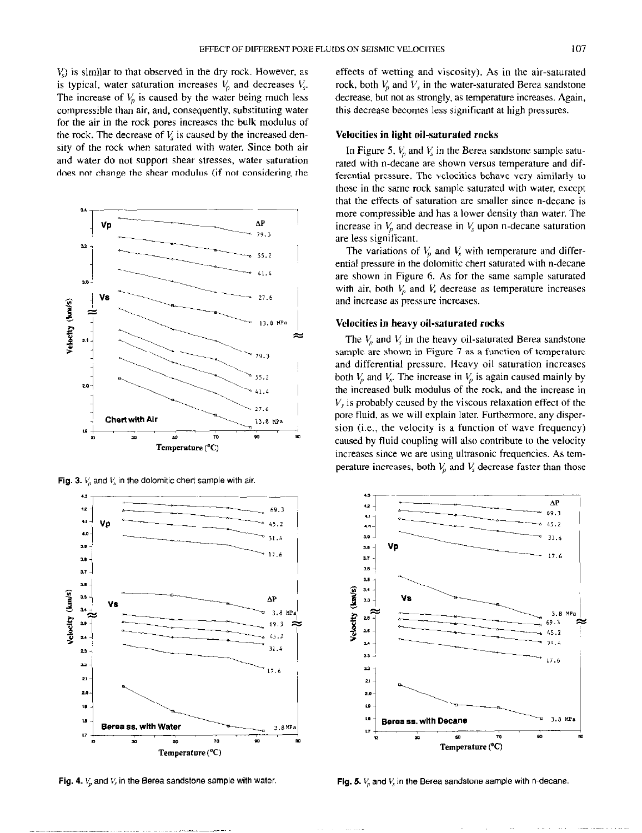V,) is similar to that observed in the dry rock. However, as is typical, water saturation increases  $V_p$  and decreases  $V_s$ . The increase of  $V<sub>p</sub>$  is caused by the water being much less compressible than air, and, consequently, substituting water for the air in the rock pores increases the bulk modulus of the rock. The decrease of  $V_s$  is caused by the increased density of the rock when saturated with water. Since both air and water do not support shear stresses, water saturation does not change the shear modulus (if not considering the







Fig. 4.  $V_n$  and  $V_s$  in the Berea sandstone sample with water.

effects of wetting and viscosity). As in the air-saturated rock, both  $V_p$  and  $V_s$  in the water-saturated Berea sandstone decrease, but not as strongly, as temperature increases. Again, this decrease becomes less significant at high pressures.

#### Velocities in light oil-saturated rocks

In Figure 5,  $V_p$  and  $V_s$  in the Berea sandstone sample saturated with n-decane are shown versus temperature and differential pressure. The velocities behave very similarly to those in the same rock sample saturated with water, except that the effects of saturation are smaller since n-decane is more compressible and has a lower density than water. The increase in  $V_p$  and decrease in  $V_s$  upon n-decane saturation are less significant.

The variations of  $V_p$  and  $V_s$  with temperature and differential pressure in the dolomitic chert saturated with n-decane are shown in Figure 6. As for the same sample saturated with air, both  $V<sub>p</sub>$  and  $V<sub>s</sub>$  decrease as temperature increases and increase as pressure increases.

#### Velocities in heavy oil-saturated rocks

The  $V<sub>n</sub>$  and  $V<sub>s</sub>$  in the heavy oil-saturated Berea sandstone sample are shown in Figure 7 as a function of temperature and differential pressure. Heavy oil saturation increases both  $V_p$  and  $V_s$ . The increase in  $V_p$  is again caused mainly by the increased bulk modulus of the rock, and the increase in  $V<sub>s</sub>$  is probably caused by the viscous relaxation effect of the pore fluid, as we will explain later. Furthermore, any dispersion (i.e., the velocity is a function of wave frequency) caused by fluid coupling will also contribute to the velocity increases since we are using ultrasonic frequencies. As temperature increases, both  $V<sub>y</sub>$  and  $V<sub>s</sub>$  decrease faster than those



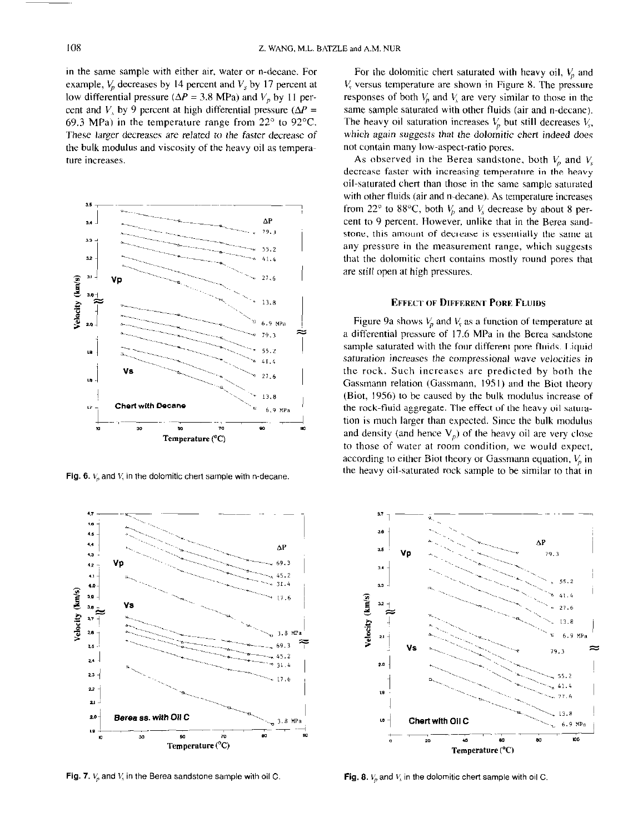in the same sample with either air, water or n-decane. For example,  $V_p$  decreases by 14 percent and  $V_s$  by 17 percent at low differential pressure ( $\Delta P = 3.8$  MPa) and  $V_p$  by 11 percent and V, by 9 percent at high differential pressure ( $\Delta P$  = 69.3 MPa) in the temperature range from  $22^{\circ}$  to 92 $^{\circ}$ C. These larger decreases are related to the faster decrease of the bulk modulus and viscosity of the heavy oil as temperature increases.



Fig. 6.  $V<sub>n</sub>$  and  $V<sub>n</sub>$  in the dolomitic chert sample with n-decane.



Fig. 7.  $V_p$  and  $V_s$  in the Berea sandstone sample with oil C. Fig. 8.  $V_s$  and  $V_s$  in the dolomitic chert sample with oil C.

For the dolomitic chert saturated with heavy oil,  $V_n$  and  $V<sub>s</sub>$  versus temperature are shown in Figure 8. The pressure responses of both  $V<sub>n</sub>$  and  $V<sub>s</sub>$  are very similar to those in the same sample saturated with other fluids (air and n-decane). The heavy oil saturation increases  $V_p$  but still decreases  $V_s$ , which again suggests that the dolomitic chert indeed does not contain many low-aspect-ratio pores.

As observed in the Berea sandstone, both  $V_p$  and  $V_s$ decrease faster with increasing temperature in the heavy oil-saturated chcrt than those in the same sample saturated with other fluids (air and n-decane). As temperature increases from 22° to 88°C, both  $V<sub>n</sub>$  and  $V<sub>s</sub>$  decrease by about 8 percent to 9 percent. However, unlike that in the Berea sandstone, this amount of decrease is essentially the same at any pressure in the measurement range, which suggests that the dolomitic chert contains mostly round pores that are still open at high pressures.

#### EFFECT OF DIFFERENT PORE FLUIDS

Figure 9a shows  $V_p$  and  $V_s$  as a function of temperature at a differential pressure of 17.6 MPa in the Berea sandstone sample saturated with the four different pore fluids. Liquid saturation increases the compressional wave velocities in the rock. Such increases are predicted by both the Gassmann relation (Gassmann, 1951) and the Biot theory (Biot, 1956) to be caused by the bulk modulus increase of the rock-fluid aggregate. The effect of the heavy oil saturation is much larger than expected. Since the bulk modulus and density (and hence  $V_p$ ) of the heavy oil are very close to those of water at room condition, we would expect. according to either Biot theory or Gassmann equation,  $V<sub>n</sub>$  in the heavy oil-saturated rock sample to be similar to that in

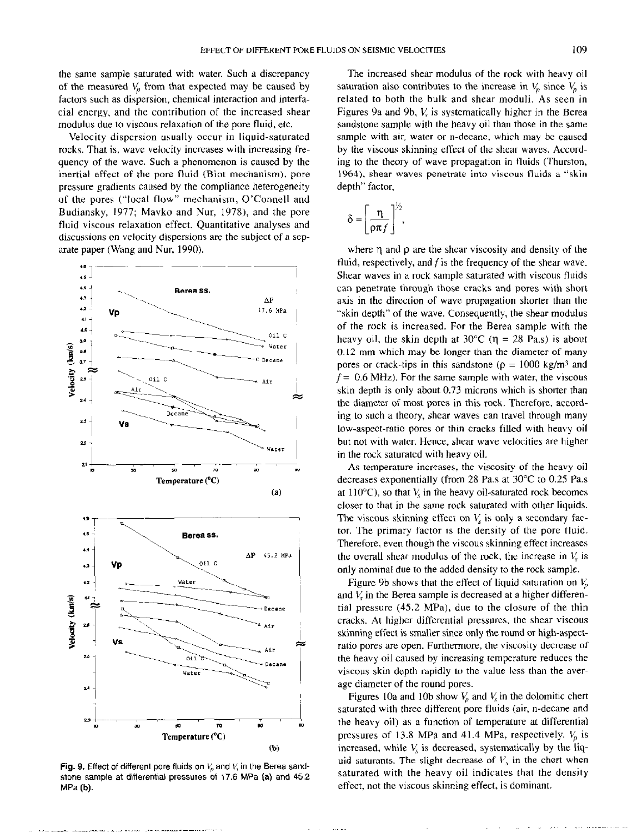the same sample saturated with water. Such a discrepancy of the measured  $V_p$  from that expected may be caused by factors such as dispersion, chemical interaction and interfacial energy, and the contribution of the increased shear modulus due to viscous relaxation of the pore fluid, etc.

Velocity dispersion usually occur in liquid-saturated rocks. That is, wave velocity increases with increasing frequency of the wave. Such a phenomenon is caused by the inertial effect of the pore fluid (Biot mechanism). pore pressure gradients caused by the compliance heterogeneity of the pores ("local flow" mechanism, O'Connell and Budiansky, 1977; Mavko and Nur, 1978), and the pore fluid viscous relaxation effect. Quantitative analyses and discussions on velocity dispersions are the subject of a separate paper (Wang and Nur, 1990).



Fig. 9. Effect of different pore fluids on  $V<sub>o</sub>$  and  $V<sub>i</sub>$  in the Berea sandstone sample at differential pressures of 17.6 MPa (a) and 45.2 MPa (b).

The increased shear modulus of the rock with heavy oil saturation also contributes to the increase in  $V_p$  since  $V_p$  is related to both the bulk and shear moduli. As seen in Figures 9a and 9b,  $V_c$  is systematically higher in the Berea sandstone sample with the heavy oil than those in the same sample with air, water or n-decane, which may be caused by the viscous skinning effect of the shear waves. According to the theory of wave propagation in fluids (Thurston, 1964). shear waves penetrate into viscous fluids a "skin depth" factor,

$$
\delta = \left[\frac{\eta}{\rho \pi f}\right]^{1/2},
$$

where  $\eta$  and  $\rho$  are the shear viscosity and density of the fluid, respectively, and  $f$  is the frequency of the shear wave. Shear waves in a rock sample saturated with viscous fluids can penetrate through those cracks and pores with short axis in the direction of wave propagation shorter than the "skin depth" of the wave. Consequently, the shear modulus of the rock is increased. For the Berea sample with the heavy oil, the skin depth at  $30^{\circ}$ C ( $\eta = 28$  Pa.s) is about 0.12 mm which may be longer than the diameter of many pores or crack-tips in this sandstone ( $\rho = 1000$  kg/m<sup>3</sup> and  $f = 0.6$  MHz). For the same sample with water, the viscous skin depth is only about 0.73 microns which is shorter than the diameter of most pores in this rock. Therefore, according to such a theory, shear waves can travel through many low-aspect-ratio pores or thin cracks filled with heavy oil but not with water. Hence, shear wave velocities are higher in the rock saturated with heavy oil.

As temperature increases, the viscosity of the heavy oil decreases exponentially (from 28 Pa.s at 30°C to 0.25 Pas at 110 $^{\circ}$ C), so that  $V_s$  in the heavy oil-saturated rock becomes closer to that in the same rock saturated with other liquids. The viscous skinning effect on  $V_s$  is only a secondary factor. The primary factor is the density of the pore fluid. Therefore, even though the viscous skinning effect increases the overall shear modulus of the rock, the increase in  $V_s$  is only nominal due to the added density to the rock sample.

Figure 9b shows that the effect of liquid saturation on  $V<sub>n</sub>$ and  $V<sub>s</sub>$  in the Berea sample is decreased at a higher differential pressure  $(45.2 \text{ MPa})$ , due to the closure of the thin cracks. At higher differential pressures, the shear viscous skinning effect is smaller since only the round or high-aspectratio pores are open. Furthermore, the viscosity decrease of the heavy oil caused by increasing temperature reduces the viscous skin depth rapidly to the value less than the average diameter of the round pores.

Figures 10a and 10b show  $V<sub>p</sub>$  and  $V<sub>s</sub>$  in the dolomitic chert saturated with three different pore fluids (air, n-decane and the heavy oil) as a function of temperature at differential pressures of 13.8 MPa and 41.4 MPa, respectively.  $V_p$  is increased, while  $V<sub>s</sub>$  is decreased, systematically by the liquid saturants. The slight decrease of  $V<sub>x</sub>$  in the chert when saturated with the heavy oil indicates that the density effect, not the viscous skinning effect. is dominant.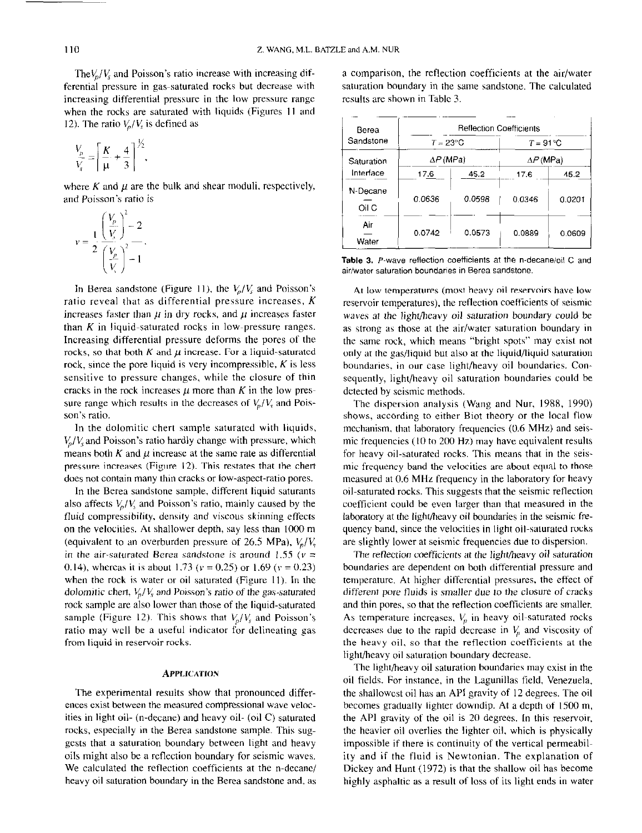The $V_p/V_s$  and Poisson's ratio increase with increasing differential pressure in gas-saturated rocks but decrease with increasing differential pressure in the low pressure range when the rocks are saturated with liquids (Figures 11 and 12). The ratio  $V_p/V_s$  is defined as

$$
\frac{V_p}{V_s} = \left[\frac{K}{\mu} + \frac{4}{3}\right]^{1/2},
$$

where K and  $\mu$  are the bulk and shear moduli, respectively, and Poisson's ratio is

$$
v = \frac{1}{2} \frac{\left(\frac{V_p}{V_s}\right)^2 - 2}{\left(\frac{V_p}{V_s}\right)^2 - 1}.
$$

In Berea sandstone (Figure 11), the  $V_a/V_s$  and Poisson's ratio reveal that as differential pressure increases,  $K$ increases faster than  $\mu$  in dry rocks, and  $\mu$  increases faster than  $K$  in liquid-saturated rocks in low-pressure ranges. Increasing differential pressure deforms the pores of the rocks, so that both  $K$  and  $\mu$  increase. For a liquid-saturated rock, since the pore liquid is very incompressible,  $K$  is less sensitive to pressure changes, while the closure of thin cracks in the rock increases  $\mu$  more than K in the low pressure range which results in the decreases of  $V_p/V_s$  and Poisson's ratio.

In the dolomitic chert sample saturated with liquids,  $V_p/V_s$  and Poisson's ratio hardly change with pressure, which means both K and  $\mu$  increase at the same rate as differential pressure increases (Figure 12). This restates that the chert does not contain many thin cracks or low-aspect-ratio pores.

In the Berea sandstone sample, different liquid saturants also affects  $V_p/V_s$  and Poisson's ratio, mainly caused by the fluid compressibility, density and viscous skinning effects on the velocities. At shallower depth, say less than 1000 m (equivalent to an overburden pressure of 26.5 MPa),  $V_n/V_s$ in the air-saturated Berea sandstone is around 1.55 ( $v =$ 0.14), whereas it is about 1.73 ( $v = 0.25$ ) or 1.69 ( $v = 0.23$ ) when the rock is water or oil saturated (Figure 11). In the dolomitic chert,  $V_n/V_s$  and Poisson's ratio of the gas-saturated rock sample are also lower than those of the liquid-saturated sample (Figure 12). This shows that  $V_p/V_s$  and Poisson's ratio may well be a useful indicator for delineating gas from liquid in reservoir rocks.

#### **APPLICATION**

The experimental results show that pronounced diffcrences exist between the measured compressional wave velocities in light oil- (n-decane) and heavy oil- (oil C) saturated rocks, especially in the Berea sandstone sample. This suggests that a saturation boundary between light and heavy oils might also be a reflection boundary for seismic waves. We calculated the reflection coefficients at the n-decane/ heavy oil saturation boundary in the Berea sandstone and, as a comparison, the reflection coefficients at the air/water saturation boundary in the same sandstone. The calculated results are shown in Table 3.

| Berea<br>Sandstone      | <b>Reflection Coefficients</b> |        |                    |        |  |
|-------------------------|--------------------------------|--------|--------------------|--------|--|
|                         | $T = 23^{\circ}$ C             |        | $T = 91^{\circ}$ C |        |  |
| Saturation<br>Interface | $\Delta P$ (MPa)               |        | $\Delta P$ (MPa)   |        |  |
|                         | 17.6                           | 45.2   | 17.6               | 45.2   |  |
| N-Decane<br>Oil C       | 0.0636                         | 0.0598 | 0.0346             | 0.0201 |  |
| Air<br>Water            | 0.0742                         | 0.0573 | 0.0889             | 0.0609 |  |

Table 3. P-wave reflection coefficients at the n-decane/oil C and air/water saturation boundaries in Berea sandstone.

At low temperatures (most heavy oil reservoirs have low reservoir temperatures), the reflection coefficients of seismic waves at the light/heavy oil saturation boundary could be as strong as those at the air/water saturation boundary in the same rock, which means "bright spots" may exist not only at the gas/liquid but also at the liquid/liquid saturation boundaries, in our case light/heavy oil boundaries. Consequently, light/heavy oil saturation boundaries could be detected by seismic methods.

The dispersion analysis (Wang and Nur, 1988, 1990) shows, according to either Biot theory or the local flow mechanism, that laboratory frequencies (0.6 MHz) and seismic frequencies ( $10$  to  $200$  Hz) may have equivalent results for heavy oil-saturated rocks. This means that in the seismic frequency band the velocities are about equal to those measured at 0.6 MHz frequency in the laboratory for heavy oil-saturated rocks. This suggests that the seismic reflection coefficient could be even larger than that measured in the laboratory at the light/heavy oil boundaries in the seismic frequency band, since the velocities in light oil-saturated rocks are slightly lower at seismic frequencies due to dispersion.

The reflection coefficients at the light/heavy oil saturation boundaries are dependent on both differential pressure and temperature. At higher differential pressures, the effect of different pore fluids is smaller due to the closure of cracks and thin pores, so that the retlection coefficients are smaller. As temperature increases,  $V_p$  in heavy oil-saturated rocks decreases due to the rapid decrease in  $V_n$  and viscosity of the heavy oil, so that the reflection coefficients at the light/heavy oil saturation boundary decrease.

The light/heavy oil saturation boundaries may exist in the oil fields. For instance, in the Lagunillas field, Venezuela, the shallowest oil has an APL gravity of 12 degrees. The oil becomes gradually lighter downdip. At a depth of 1500 m, the API gravity of the oil is 20 degrees. In this reservoir, the heavier oil overlies the lighter oil, which is physically impossible if there is continuity of the vertical permeability and if the fluid is Newtonian. The explanation of Dickey and Hunt (1972) is that the shallow oil has become highly asphaltic as a result of loss of its light ends in water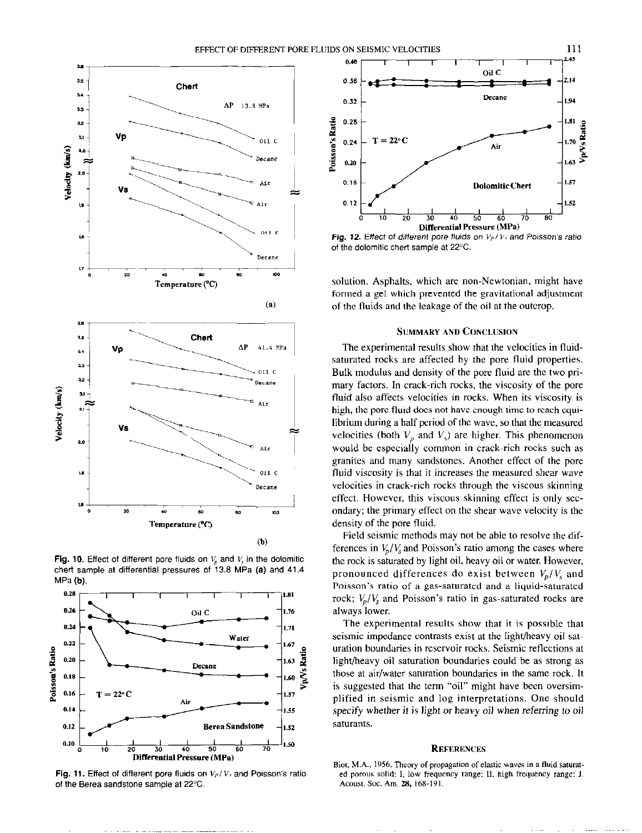

Fig. 10. Effect of different pore fluids on  $V_p$  and  $V_s$  in the dolomitic chert sample at differential pressures of 13.8 MPa (a) and 41.4  $MPa(b)$ 



Fig. 11. Effect of different pore fluids on  $V_P/V_s$  and Poisson's ratio of the Berea sandstone sample at 22°C.



Fig. 12. Effect of different pore fluids on  $V_p/V_s$  and Poisson's ratio of the dolomitic chert sample at 22°C.

solution. Asphalts, which are non-Newtonian, might have formed a gel which prevented the gravitational adjustment of the fluids and the leakage of the oil at the outcrop.

## **SUMMARY AND CONCLUSION**

The experimental results show that the velocities in fluidsaturated rocks are affected by the pore fluid properties. Bulk modulus and density of the pore fluid are the two primary factors. In crack-rich rocks, the viscosity of the pore fluid also affects velocities in rocks. When its viscosity is high, the pore fluid does not have enough time to reach equilibrium during a half period of the wave, so that the measured velocities (both  $V_p$  and  $V_s$ ) are higher. This phenomenon would be especially common in crack-rich rocks such as granites and many sandstones. Another effect of the pore fluid viscosity is that it increases the measured shear wave velocities in crack-rich rocks through the viscous skinning effect. However, this viscous skinning effect is only secondary; the primary effect on the shear wave velocity is the density of the pore fluid.

Field seismic methods may not be able to resolve the differences in  $V_p/V_s$  and Poisson's ratio among the cases where the rock is saturated by light oil, heavy oil or water. However, pronounced differences do exist between  $V_p/V_s$  and Poisson's ratio of a gas-saturated and a liquid-saturated rock;  $V_p/V_s$  and Poisson's ratio in gas-saturated rocks are always lower.

The experimental results show that it is possible that seismic impedance contrasts exist at the light/heavy oil saturation boundaries in reservoir rocks. Seismic reflections at light/heavy oil saturation boundaries could be as strong as those at air/water saturation boundaries in the same rock. It is suggested that the term "oil" might have been oversimplified in seismic and log interpretations. One should specify whether it is light or heavy oil when referring to oil saturants.

#### **REFERENCES**

Biot, M.A., 1956, Theory of propagation of elastic waves in a fluid saturated porous solid: I, low frequency range; II, high frequency range: J. Acoust. Soc. Am. 28, 168-191.